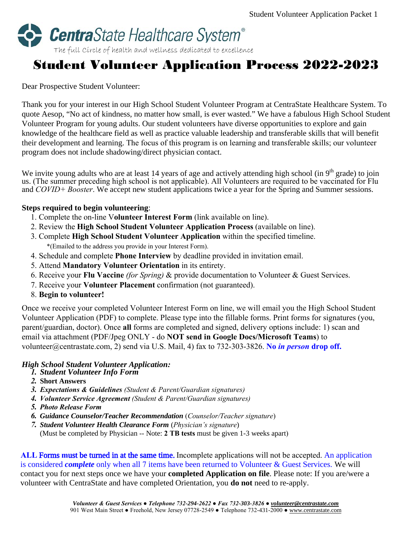

# Student Volunteer Application Process 2022-2023

### Dear Prospective Student Volunteer:

Thank you for your interest in our High School Student Volunteer Program at CentraState Healthcare System. To quote Aesop, "No act of kindness, no matter how small, is ever wasted." We have a fabulous High School Student Volunteer Program for young adults. Our student volunteers have diverse opportunities to explore and gain knowledge of the healthcare field as well as practice valuable leadership and transferable skills that will benefit their development and learning. The focus of this program is on learning and transferable skills; our volunteer program does not include shadowing/direct physician contact.

We invite young adults who are at least 14 years of age and actively attending high school (in  $9<sup>th</sup>$  grade) to join us. (The summer preceding high school is not applicable). All Volunteers are required to be vaccinated for Flu and *COVID+ Booster*. We accept new student applications twice a year for the Spring and Summer sessions.

### **Steps required to begin volunteering**:

- 1. Complete the on-line V**olunteer Interest Form** (link available on line).
- 2. Review the **High School Student Volunteer Application Process** (available on line).
- 3. Complete **High School Student Volunteer Application** within the specified timeline. \*(Emailed to the address you provide in your Interest Form).
- 4. Schedule and complete **Phone Interview** by deadline provided in invitation email.
- 5. Attend **Mandatory Volunteer Orientation** in its entirety.
- 6. Receive your **Flu Vaccine** *(for Spring)* & provide documentation to Volunteer & Guest Services.
- 7. Receive your **Volunteer Placement** confirmation (not guaranteed).
- 8. **Begin to volunteer!**

Once we receive your completed Volunteer Interest Form on line, we will email you the High School Student Volunteer Application (PDF) to complete. Please type into the fillable forms. Print forms for signatures (you, parent/guardian, doctor). Once **all** forms are completed and signed, delivery options include: 1) scan and email via attachment (PDF/Jpeg ONLY - do **NOT send in Google Docs/Microsoft Teams**) to volunteer@centrastate.com, 2) send via U.S. Mail, 4) fax to 732-303-3826. **No** *in person* **drop off.** 

## *High School Student Volunteer Application:*

- *1. Student Volunteer Info Form*
- *2.* **Short Answers**
- *3. Expectations & Guidelines (Student & Parent/Guardian signatures)*
- *4. Volunteer Service Agreement (Student & Parent/Guardian signatures)*
- *5. Photo Release Form*
- *6. Guidance Counselor/Teacher Recommendation* (*Counselor/Teacher signature*)
- *7. Student Volunteer Health Clearance Form* (*Physician's signature*) (Must be completed by Physician -- Note: **2 TB tests** must be given 1-3 weeks apart)

**ALL** Forms **m**ust be turned in at the same time. Incomplete applications will not be accepted. An application is considered *complete* only when all 7 items have been returned to Volunteer & Guest Services. We will contact you for next steps once we have your **completed Application on file**. Please note: If you are/were a volunteer with CentraState and have completed Orientation, you **do not** need to re-apply.